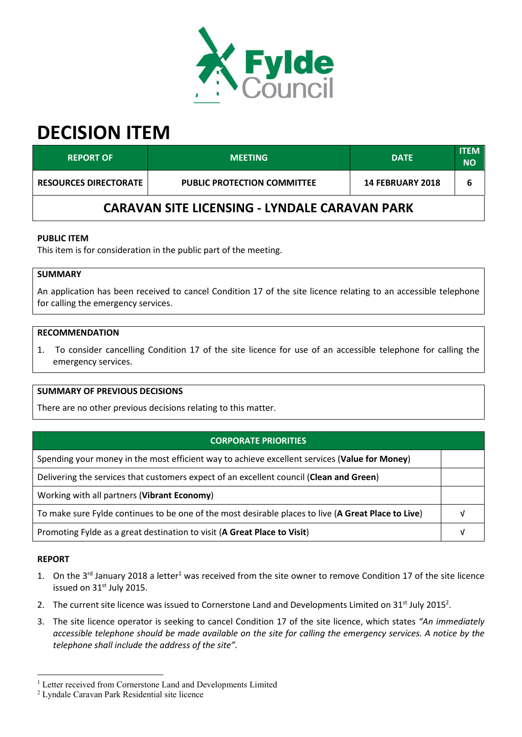

# **DECISION ITEM**

| <b>REPORT OF !</b>                            | <b>MEETING</b>                     | <b>DATE</b>             | <b>ITEM</b><br><b>NO</b> |  |  |  |
|-----------------------------------------------|------------------------------------|-------------------------|--------------------------|--|--|--|
| <b>RESOURCES DIRECTORATE</b>                  | <b>PUBLIC PROTECTION COMMITTEE</b> | <b>14 FEBRUARY 2018</b> | 6                        |  |  |  |
| CARAVAN SITE LICENSING - LYNDALE CARAVAN PARK |                                    |                         |                          |  |  |  |

### **PUBLIC ITEM**

This item is for consideration in the public part of the meeting.

## **SUMMARY**

An application has been received to cancel Condition 17 of the site licence relating to an accessible telephone for calling the emergency services.

#### **RECOMMENDATION**

1. To consider cancelling Condition 17 of the site licence for use of an accessible telephone for calling the emergency services.

#### **SUMMARY OF PREVIOUS DECISIONS**

There are no other previous decisions relating to this matter.

| <b>CORPORATE PRIORITIES</b>                                                                         |  |  |
|-----------------------------------------------------------------------------------------------------|--|--|
| Spending your money in the most efficient way to achieve excellent services (Value for Money)       |  |  |
| Delivering the services that customers expect of an excellent council (Clean and Green)             |  |  |
| Working with all partners (Vibrant Economy)                                                         |  |  |
| To make sure Fylde continues to be one of the most desirable places to live (A Great Place to Live) |  |  |
| Promoting Fylde as a great destination to visit (A Great Place to Visit)                            |  |  |

#### **REPORT**

 $\overline{a}$ 

- 1. On the 3<sup>rd</sup> January 2018 a letter<sup>1</sup> was received from the site owner to remove Condition 17 of the site licence issued on 31<sup>st</sup> July 2015.
- 2. The current site licence was issued to Cornerstone Land and Developments Limited on  $31<sup>st</sup>$  July 2015<sup>2</sup>.
- 3. The site licence operator is seeking to cancel Condition 17 of the site licence, which states *"An immediately accessible telephone should be made available on the site for calling the emergency services. A notice by the telephone shall include the address of the site".*

<sup>&</sup>lt;sup>1</sup> Letter received from Cornerstone Land and Developments Limited

<sup>2</sup> Lyndale Caravan Park Residential site licence